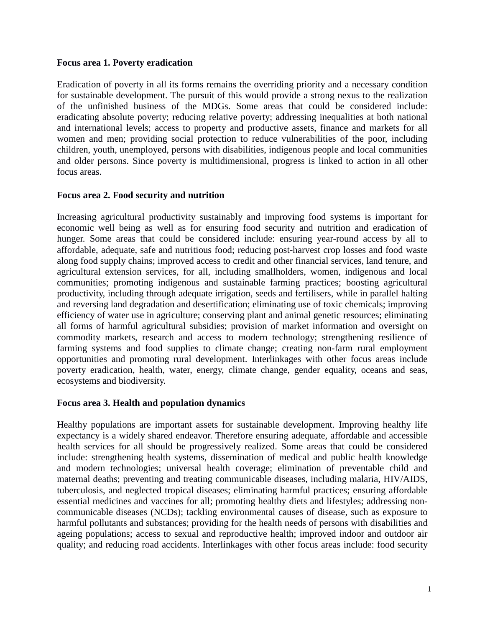### **Focus area 1. Poverty eradication**

Eradication of poverty in all its forms remains the overriding priority and a necessary condition for sustainable development. The pursuit of this would provide a strong nexus to the realization of the unfinished business of the MDGs. Some areas that could be considered include: eradicating absolute poverty; reducing relative poverty; addressing inequalities at both national and international levels; access to property and productive assets, finance and markets for all women and men; providing social protection to reduce vulnerabilities of the poor, including children, youth, unemployed, persons with disabilities, indigenous people and local communities and older persons. Since poverty is multidimensional, progress is linked to action in all other focus areas.

### **Focus area 2. Food security and nutrition**

Increasing agricultural productivity sustainably and improving food systems is important for economic well being as well as for ensuring food security and nutrition and eradication of hunger. Some areas that could be considered include: ensuring year-round access by all to affordable, adequate, safe and nutritious food; reducing post-harvest crop losses and food waste along food supply chains; improved access to credit and other financial services, land tenure, and agricultural extension services, for all, including smallholders, women, indigenous and local communities; promoting indigenous and sustainable farming practices; boosting agricultural productivity, including through adequate irrigation, seeds and fertilisers, while in parallel halting and reversing land degradation and desertification; eliminating use of toxic chemicals; improving efficiency of water use in agriculture; conserving plant and animal genetic resources; eliminating all forms of harmful agricultural subsidies; provision of market information and oversight on commodity markets, research and access to modern technology; strengthening resilience of farming systems and food supplies to climate change; creating non-farm rural employment opportunities and promoting rural development. Interlinkages with other focus areas include poverty eradication, health, water, energy, climate change, gender equality, oceans and seas, ecosystems and biodiversity.

### **Focus area 3. Health and population dynamics**

Healthy populations are important assets for sustainable development. Improving healthy life expectancy is a widely shared endeavor. Therefore ensuring adequate, affordable and accessible health services for all should be progressively realized. Some areas that could be considered include: strengthening health systems, dissemination of medical and public health knowledge and modern technologies; universal health coverage; elimination of preventable child and maternal deaths; preventing and treating communicable diseases, including malaria, HIV/AIDS, tuberculosis, and neglected tropical diseases; eliminating harmful practices; ensuring affordable essential medicines and vaccines for all; promoting healthy diets and lifestyles; addressing noncommunicable diseases (NCDs); tackling environmental causes of disease, such as exposure to harmful pollutants and substances; providing for the health needs of persons with disabilities and ageing populations; access to sexual and reproductive health; improved indoor and outdoor air quality; and reducing road accidents. Interlinkages with other focus areas include: food security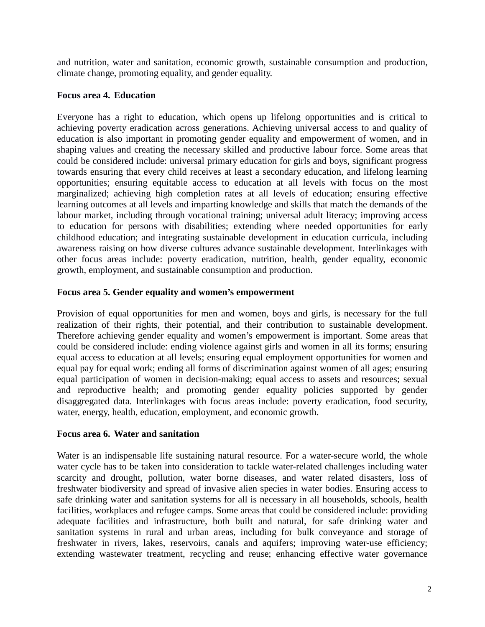and nutrition, water and sanitation, economic growth, sustainable consumption and production, climate change, promoting equality, and gender equality.

## **Focus area 4. Education**

Everyone has a right to education, which opens up lifelong opportunities and is critical to achieving poverty eradication across generations. Achieving universal access to and quality of education is also important in promoting gender equality and empowerment of women, and in shaping values and creating the necessary skilled and productive labour force. Some areas that could be considered include: universal primary education for girls and boys, significant progress towards ensuring that every child receives at least a secondary education, and lifelong learning opportunities; ensuring equitable access to education at all levels with focus on the most marginalized; achieving high completion rates at all levels of education; ensuring effective learning outcomes at all levels and imparting knowledge and skills that match the demands of the labour market, including through vocational training; universal adult literacy; improving access to education for persons with disabilities; extending where needed opportunities for early childhood education; and integrating sustainable development in education curricula, including awareness raising on how diverse cultures advance sustainable development. Interlinkages with other focus areas include: poverty eradication, nutrition, health, gender equality, economic growth, employment, and sustainable consumption and production.

## **Focus area 5. Gender equality and women's empowerment**

Provision of equal opportunities for men and women, boys and girls, is necessary for the full realization of their rights, their potential, and their contribution to sustainable development. Therefore achieving gender equality and women's empowerment is important. Some areas that could be considered include: ending violence against girls and women in all its forms; ensuring equal access to education at all levels; ensuring equal employment opportunities for women and equal pay for equal work; ending all forms of discrimination against women of all ages; ensuring equal participation of women in decision-making; equal access to assets and resources; sexual and reproductive health; and promoting gender equality policies supported by gender disaggregated data. Interlinkages with focus areas include: poverty eradication, food security, water, energy, health, education, employment, and economic growth.

### **Focus area 6. Water and sanitation**

Water is an indispensable life sustaining natural resource. For a water-secure world, the whole water cycle has to be taken into consideration to tackle water-related challenges including water scarcity and drought, pollution, water borne diseases, and water related disasters, loss of freshwater biodiversity and spread of invasive alien species in water bodies. Ensuring access to safe drinking water and sanitation systems for all is necessary in all households, schools, health facilities, workplaces and refugee camps. Some areas that could be considered include: providing adequate facilities and infrastructure, both built and natural, for safe drinking water and sanitation systems in rural and urban areas, including for bulk conveyance and storage of freshwater in rivers, lakes, reservoirs, canals and aquifers; improving water-use efficiency; extending wastewater treatment, recycling and reuse; enhancing effective water governance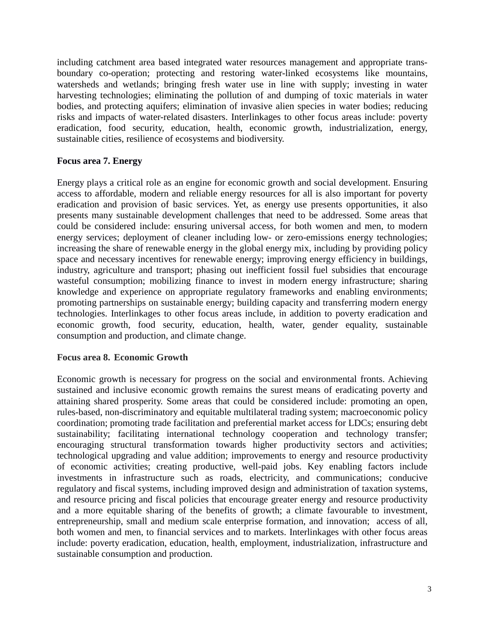including catchment area based integrated water resources management and appropriate transboundary co-operation; protecting and restoring water-linked ecosystems like mountains, watersheds and wetlands; bringing fresh water use in line with supply; investing in water harvesting technologies; eliminating the pollution of and dumping of toxic materials in water bodies, and protecting aquifers; elimination of invasive alien species in water bodies; reducing risks and impacts of water-related disasters. Interlinkages to other focus areas include: poverty eradication, food security, education, health, economic growth, industrialization, energy, sustainable cities, resilience of ecosystems and biodiversity.

## **Focus area 7. Energy**

Energy plays a critical role as an engine for economic growth and social development. Ensuring access to affordable, modern and reliable energy resources for all is also important for poverty eradication and provision of basic services. Yet, as energy use presents opportunities, it also presents many sustainable development challenges that need to be addressed. Some areas that could be considered include: ensuring universal access, for both women and men, to modern energy services; deployment of cleaner including low- or zero-emissions energy technologies; increasing the share of renewable energy in the global energy mix, including by providing policy space and necessary incentives for renewable energy; improving energy efficiency in buildings, industry, agriculture and transport; phasing out inefficient fossil fuel subsidies that encourage wasteful consumption; mobilizing finance to invest in modern energy infrastructure; sharing knowledge and experience on appropriate regulatory frameworks and enabling environments; promoting partnerships on sustainable energy; building capacity and transferring modern energy technologies. Interlinkages to other focus areas include, in addition to poverty eradication and economic growth, food security, education, health, water, gender equality, sustainable consumption and production, and climate change.

### **Focus area 8. Economic Growth**

Economic growth is necessary for progress on the social and environmental fronts. Achieving sustained and inclusive economic growth remains the surest means of eradicating poverty and attaining shared prosperity. Some areas that could be considered include: promoting an open, rules-based, non-discriminatory and equitable multilateral trading system; macroeconomic policy coordination; promoting trade facilitation and preferential market access for LDCs; ensuring debt sustainability; facilitating international technology cooperation and technology transfer; encouraging structural transformation towards higher productivity sectors and activities; technological upgrading and value addition; improvements to energy and resource productivity of economic activities; creating productive, well-paid jobs. Key enabling factors include investments in infrastructure such as roads, electricity, and communications; conducive regulatory and fiscal systems, including improved design and administration of taxation systems, and resource pricing and fiscal policies that encourage greater energy and resource productivity and a more equitable sharing of the benefits of growth; a climate favourable to investment, entrepreneurship, small and medium scale enterprise formation, and innovation; access of all, both women and men, to financial services and to markets. Interlinkages with other focus areas include: poverty eradication, education, health, employment, industrialization, infrastructure and sustainable consumption and production.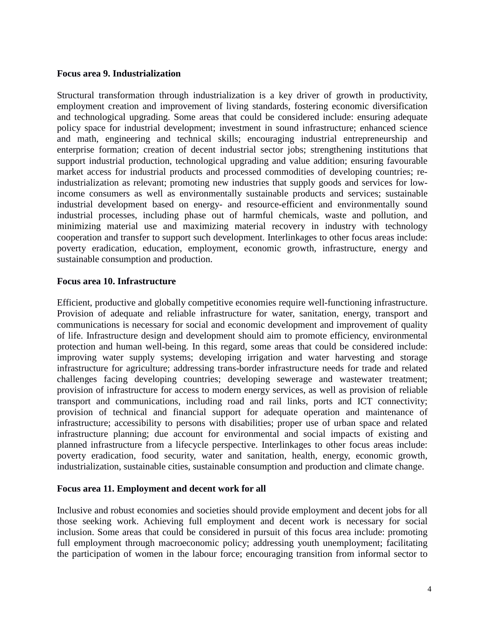#### **Focus area 9. Industrialization**

Structural transformation through industrialization is a key driver of growth in productivity, employment creation and improvement of living standards, fostering economic diversification and technological upgrading. Some areas that could be considered include: ensuring adequate policy space for industrial development; investment in sound infrastructure; enhanced science and math, engineering and technical skills; encouraging industrial entrepreneurship and enterprise formation; creation of decent industrial sector jobs; strengthening institutions that support industrial production, technological upgrading and value addition; ensuring favourable market access for industrial products and processed commodities of developing countries; reindustrialization as relevant; promoting new industries that supply goods and services for lowincome consumers as well as environmentally sustainable products and services; sustainable industrial development based on energy- and resource-efficient and environmentally sound industrial processes, including phase out of harmful chemicals, waste and pollution, and minimizing material use and maximizing material recovery in industry with technology cooperation and transfer to support such development. Interlinkages to other focus areas include: poverty eradication, education, employment, economic growth, infrastructure, energy and sustainable consumption and production.

### **Focus area 10. Infrastructure**

Efficient, productive and globally competitive economies require well-functioning infrastructure. Provision of adequate and reliable infrastructure for water, sanitation, energy, transport and communications is necessary for social and economic development and improvement of quality of life. Infrastructure design and development should aim to promote efficiency, environmental protection and human well-being. In this regard, some areas that could be considered include: improving water supply systems; developing irrigation and water harvesting and storage infrastructure for agriculture; addressing trans-border infrastructure needs for trade and related challenges facing developing countries; developing sewerage and wastewater treatment; provision of infrastructure for access to modern energy services, as well as provision of reliable transport and communications, including road and rail links, ports and ICT connectivity; provision of technical and financial support for adequate operation and maintenance of infrastructure; accessibility to persons with disabilities; proper use of urban space and related infrastructure planning; due account for environmental and social impacts of existing and planned infrastructure from a lifecycle perspective. Interlinkages to other focus areas include: poverty eradication, food security, water and sanitation, health, energy, economic growth, industrialization, sustainable cities, sustainable consumption and production and climate change.

### **Focus area 11. Employment and decent work for all**

Inclusive and robust economies and societies should provide employment and decent jobs for all those seeking work. Achieving full employment and decent work is necessary for social inclusion. Some areas that could be considered in pursuit of this focus area include: promoting full employment through macroeconomic policy; addressing youth unemployment; facilitating the participation of women in the labour force; encouraging transition from informal sector to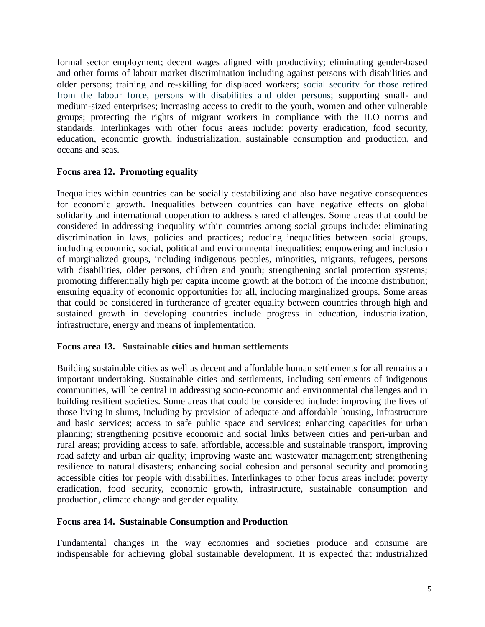formal sector employment; decent wages aligned with productivity; eliminating gender-based and other forms of labour market discrimination including against persons with disabilities and older persons; training and re-skilling for displaced workers; social security for those retired from the labour force, persons with disabilities and older persons; supporting small- and medium-sized enterprises; increasing access to credit to the youth, women and other vulnerable groups; protecting the rights of migrant workers in compliance with the ILO norms and standards. Interlinkages with other focus areas include: poverty eradication, food security, education, economic growth, industrialization, sustainable consumption and production, and oceans and seas.

# **Focus area 12. Promoting equality**

Inequalities within countries can be socially destabilizing and also have negative consequences for economic growth. Inequalities between countries can have negative effects on global solidarity and international cooperation to address shared challenges. Some areas that could be considered in addressing inequality within countries among social groups include: eliminating discrimination in laws, policies and practices; reducing inequalities between social groups, including economic, social, political and environmental inequalities; empowering and inclusion of marginalized groups, including indigenous peoples, minorities, migrants, refugees, persons with disabilities, older persons, children and youth; strengthening social protection systems; promoting differentially high per capita income growth at the bottom of the income distribution; ensuring equality of economic opportunities for all, including marginalized groups. Some areas that could be considered in furtherance of greater equality between countries through high and sustained growth in developing countries include progress in education, industrialization, infrastructure, energy and means of implementation.

### **Focus area 13. Sustainable cities and human settlements**

Building sustainable cities as well as decent and affordable human settlements for all remains an important undertaking. Sustainable cities and settlements, including settlements of indigenous communities, will be central in addressing socio-economic and environmental challenges and in building resilient societies. Some areas that could be considered include: improving the lives of those living in slums, including by provision of adequate and affordable housing, infrastructure and basic services; access to safe public space and services; enhancing capacities for urban planning; strengthening positive economic and social links between cities and peri-urban and rural areas; providing access to safe, affordable, accessible and sustainable transport, improving road safety and urban air quality; improving waste and wastewater management; strengthening resilience to natural disasters; enhancing social cohesion and personal security and promoting accessible cities for people with disabilities. Interlinkages to other focus areas include: poverty eradication, food security, economic growth, infrastructure, sustainable consumption and production, climate change and gender equality.

### **Focus area 14. Sustainable Consumption and Production**

Fundamental changes in the way economies and societies produce and consume are indispensable for achieving global sustainable development. It is expected that industrialized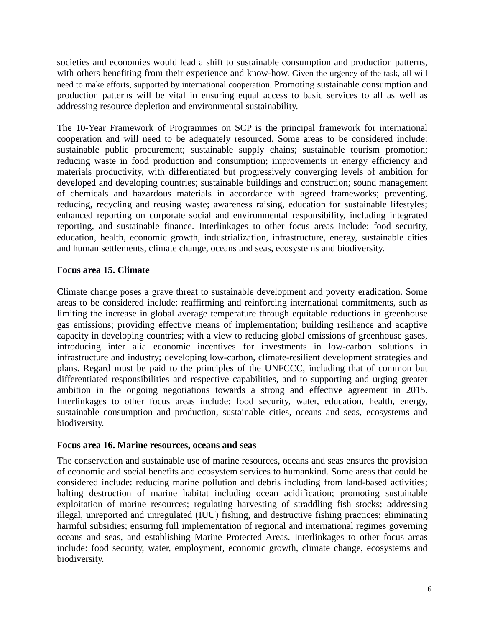societies and economies would lead a shift to sustainable consumption and production patterns, with others benefiting from their experience and know-how. Given the urgency of the task, all will need to make efforts, supported by international cooperation. Promoting sustainable consumption and production patterns will be vital in ensuring equal access to basic services to all as well as addressing resource depletion and environmental sustainability.

The 10-Year Framework of Programmes on SCP is the principal framework for international cooperation and will need to be adequately resourced. Some areas to be considered include: sustainable public procurement; sustainable supply chains; sustainable tourism promotion; reducing waste in food production and consumption; improvements in energy efficiency and materials productivity, with differentiated but progressively converging levels of ambition for developed and developing countries; sustainable buildings and construction; sound management of chemicals and hazardous materials in accordance with agreed frameworks; preventing, reducing, recycling and reusing waste; awareness raising, education for sustainable lifestyles; enhanced reporting on corporate social and environmental responsibility, including integrated reporting, and sustainable finance. Interlinkages to other focus areas include: food security, education, health, economic growth, industrialization, infrastructure, energy, sustainable cities and human settlements, climate change, oceans and seas, ecosystems and biodiversity.

# **Focus area 15. Climate**

Climate change poses a grave threat to sustainable development and poverty eradication. Some areas to be considered include: reaffirming and reinforcing international commitments, such as limiting the increase in global average temperature through equitable reductions in greenhouse gas emissions; providing effective means of implementation; building resilience and adaptive capacity in developing countries; with a view to reducing global emissions of greenhouse gases, introducing inter alia economic incentives for investments in low-carbon solutions in infrastructure and industry; developing low-carbon, climate-resilient development strategies and plans. Regard must be paid to the principles of the UNFCCC, including that of common but differentiated responsibilities and respective capabilities, and to supporting and urging greater ambition in the ongoing negotiations towards a strong and effective agreement in 2015. Interlinkages to other focus areas include: food security, water, education, health, energy, sustainable consumption and production, sustainable cities, oceans and seas, ecosystems and biodiversity.

### **Focus area 16. Marine resources, oceans and seas**

The conservation and sustainable use of marine resources, oceans and seas ensures the provision of economic and social benefits and ecosystem services to humankind. Some areas that could be considered include: reducing marine pollution and debris including from land-based activities; halting destruction of marine habitat including ocean acidification; promoting sustainable exploitation of marine resources; regulating harvesting of straddling fish stocks; addressing illegal, unreported and unregulated (IUU) fishing, and destructive fishing practices; eliminating harmful subsidies; ensuring full implementation of regional and international regimes governing oceans and seas, and establishing Marine Protected Areas. Interlinkages to other focus areas include: food security, water, employment, economic growth, climate change, ecosystems and biodiversity.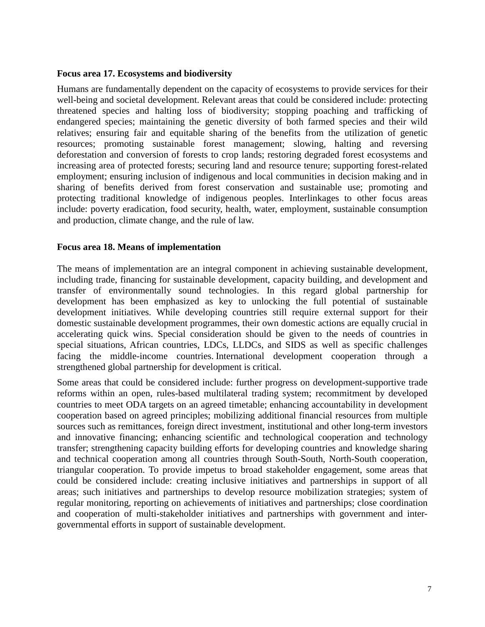### **Focus area 17. Ecosystems and biodiversity**

Humans are fundamentally dependent on the capacity of ecosystems to provide services for their well-being and societal development. Relevant areas that could be considered include: protecting threatened species and halting loss of biodiversity; stopping poaching and trafficking of endangered species; maintaining the genetic diversity of both farmed species and their wild relatives; ensuring fair and equitable sharing of the benefits from the utilization of genetic resources; promoting sustainable forest management; slowing, halting and reversing deforestation and conversion of forests to crop lands; restoring degraded forest ecosystems and increasing area of protected forests; securing land and resource tenure; supporting forest-related employment; ensuring inclusion of indigenous and local communities in decision making and in sharing of benefits derived from forest conservation and sustainable use; promoting and protecting traditional knowledge of indigenous peoples. Interlinkages to other focus areas include: poverty eradication, food security, health, water, employment, sustainable consumption and production, climate change, and the rule of law.

#### **Focus area 18. Means of implementation**

The means of implementation are an integral component in achieving sustainable development, including trade, financing for sustainable development, capacity building, and development and transfer of environmentally sound technologies. In this regard global partnership for development has been emphasized as key to unlocking the full potential of sustainable development initiatives. While developing countries still require external support for their domestic sustainable development programmes, their own domestic actions are equally crucial in accelerating quick wins. Special consideration should be given to the needs of countries in special situations, African countries, LDCs, LLDCs, and SIDS as well as specific challenges facing the middle-income countries. International development cooperation through a strengthened global partnership for development is critical.

Some areas that could be considered include: further progress on development-supportive trade reforms within an open, rules-based multilateral trading system; recommitment by developed countries to meet ODA targets on an agreed timetable; enhancing accountability in development cooperation based on agreed principles; mobilizing additional financial resources from multiple sources such as remittances, foreign direct investment, institutional and other long-term investors and innovative financing; enhancing scientific and technological cooperation and technology transfer; strengthening capacity building efforts for developing countries and knowledge sharing and technical cooperation among all countries through South-South, North-South cooperation, triangular cooperation. To provide impetus to broad stakeholder engagement, some areas that could be considered include: creating inclusive initiatives and partnerships in support of all areas; such initiatives and partnerships to develop resource mobilization strategies; system of regular monitoring, reporting on achievements of initiatives and partnerships; close coordination and cooperation of multi-stakeholder initiatives and partnerships with government and intergovernmental efforts in support of sustainable development.